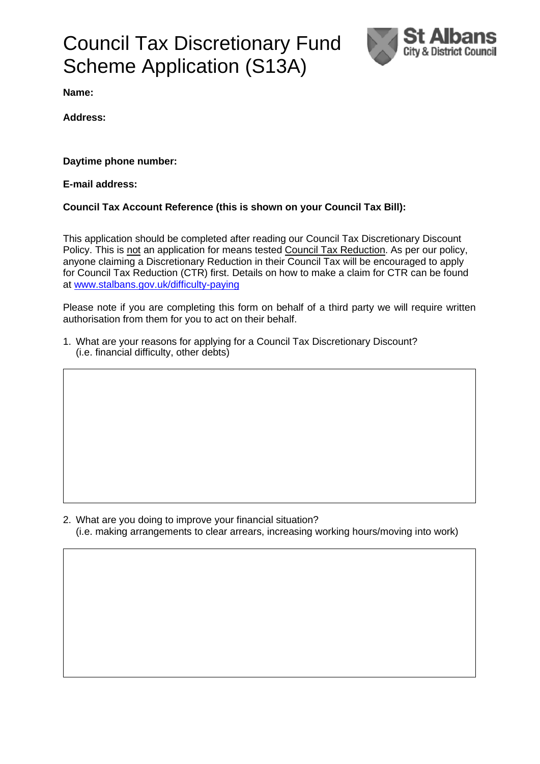# Council Tax Discretionary Fund Scheme Application (S13A)



**Name:** 

**Address:**

**Daytime phone number:** 

**E-mail address:**

### **Council Tax Account Reference (this is shown on your Council Tax Bill):**

This application should be completed after reading our Council Tax Discretionary Discount Policy. This is not an application for means tested Council Tax Reduction. As per our policy, anyone claiming a Discretionary Reduction in their Council Tax will be encouraged to apply for Council Tax Reduction (CTR) first. Details on how to make a claim for CTR can be found at [www.stalbans.gov.uk/difficulty-paying](http://www.stalbans.gov.uk/difficulty-paying)

Please note if you are completing this form on behalf of a third party we will require written authorisation from them for you to act on their behalf.

1. What are your reasons for applying for a Council Tax Discretionary Discount? (i.e. financial difficulty, other debts)

2. What are you doing to improve your financial situation? (i.e. making arrangements to clear arrears, increasing working hours/moving into work)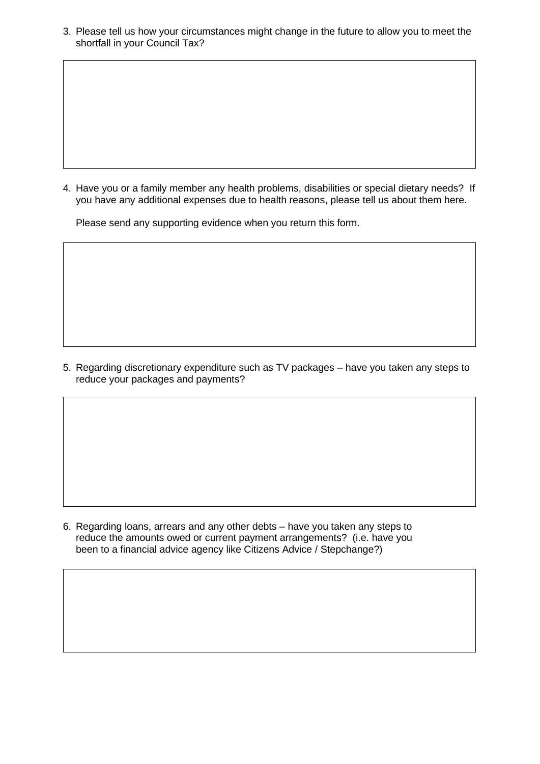3. Please tell us how your circumstances might change in the future to allow you to meet the shortfall in your Council Tax?

4. Have you or a family member any health problems, disabilities or special dietary needs? If you have any additional expenses due to health reasons, please tell us about them here.

Please send any supporting evidence when you return this form.

5. Regarding discretionary expenditure such as TV packages – have you taken any steps to reduce your packages and payments?

6. Regarding loans, arrears and any other debts – have you taken any steps to reduce the amounts owed or current payment arrangements? (i.e. have you been to a financial advice agency like Citizens Advice / Stepchange?)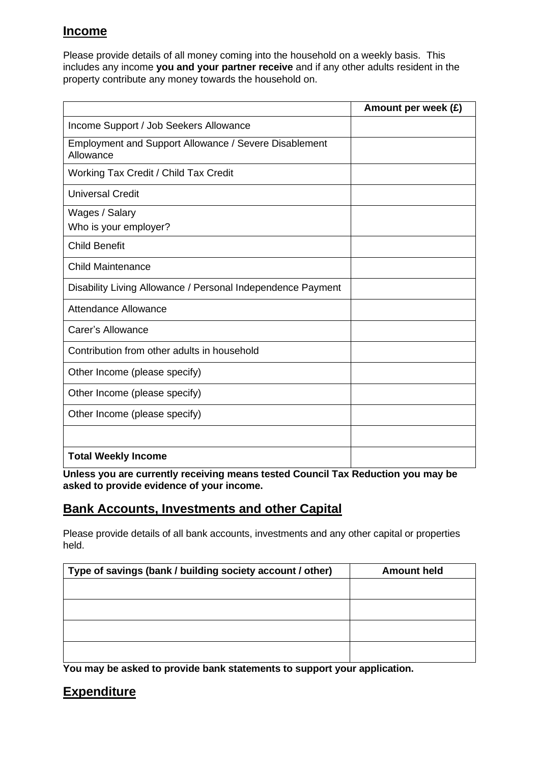### **Income**

Please provide details of all money coming into the household on a weekly basis. This includes any income **you and your partner receive** and if any other adults resident in the property contribute any money towards the household on.

|                                                                    | Amount per week (£) |
|--------------------------------------------------------------------|---------------------|
| Income Support / Job Seekers Allowance                             |                     |
| Employment and Support Allowance / Severe Disablement<br>Allowance |                     |
| Working Tax Credit / Child Tax Credit                              |                     |
| <b>Universal Credit</b>                                            |                     |
| Wages / Salary                                                     |                     |
| Who is your employer?                                              |                     |
| <b>Child Benefit</b>                                               |                     |
| <b>Child Maintenance</b>                                           |                     |
| Disability Living Allowance / Personal Independence Payment        |                     |
| <b>Attendance Allowance</b>                                        |                     |
| Carer's Allowance                                                  |                     |
| Contribution from other adults in household                        |                     |
| Other Income (please specify)                                      |                     |
| Other Income (please specify)                                      |                     |
| Other Income (please specify)                                      |                     |
|                                                                    |                     |
| <b>Total Weekly Income</b>                                         |                     |

**Unless you are currently receiving means tested Council Tax Reduction you may be asked to provide evidence of your income.**

# **Bank Accounts, Investments and other Capital**

Please provide details of all bank accounts, investments and any other capital or properties held.

| <b>Amount held</b> |
|--------------------|
|                    |
|                    |
|                    |
|                    |
|                    |
|                    |

**You may be asked to provide bank statements to support your application.** 

# **Expenditure**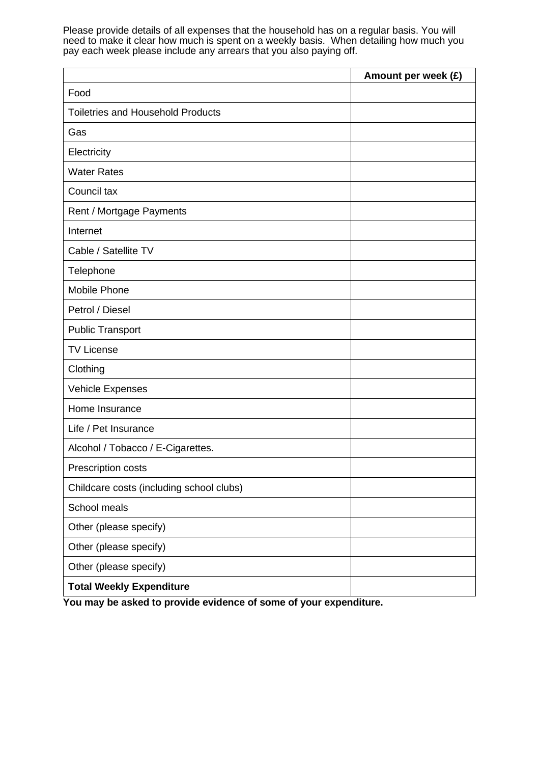Please provide details of all expenses that the household has on a regular basis. You will need to make it clear how much is spent on a weekly basis. When detailing how much you pay each week please include any arrears that you also paying off.

|                                          | Amount per week (£) |
|------------------------------------------|---------------------|
| Food                                     |                     |
| <b>Toiletries and Household Products</b> |                     |
| Gas                                      |                     |
| Electricity                              |                     |
| <b>Water Rates</b>                       |                     |
| Council tax                              |                     |
| Rent / Mortgage Payments                 |                     |
| Internet                                 |                     |
| Cable / Satellite TV                     |                     |
| Telephone                                |                     |
| Mobile Phone                             |                     |
| Petrol / Diesel                          |                     |
| <b>Public Transport</b>                  |                     |
| <b>TV License</b>                        |                     |
| Clothing                                 |                     |
| <b>Vehicle Expenses</b>                  |                     |
| Home Insurance                           |                     |
| Life / Pet Insurance                     |                     |
| Alcohol / Tobacco / E-Cigarettes.        |                     |
| Prescription costs                       |                     |
| Childcare costs (including school clubs) |                     |
| School meals                             |                     |
| Other (please specify)                   |                     |
| Other (please specify)                   |                     |
| Other (please specify)                   |                     |
| <b>Total Weekly Expenditure</b>          |                     |

**You may be asked to provide evidence of some of your expenditure.**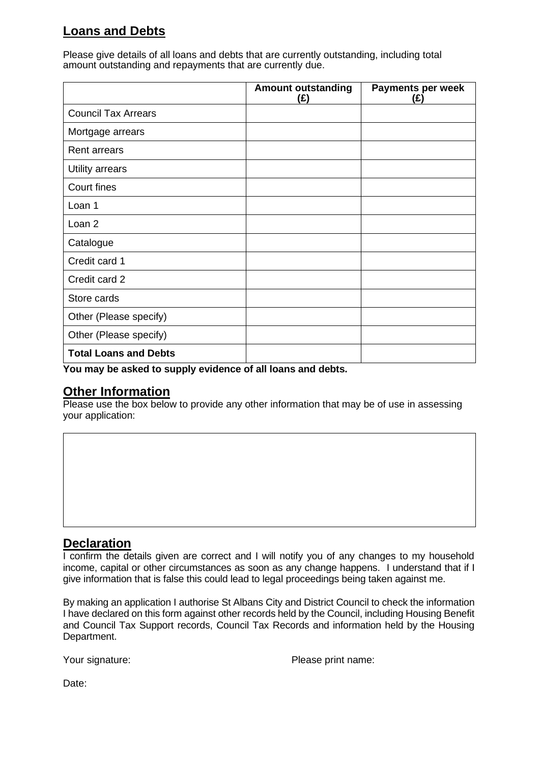# **Loans and Debts**

Please give details of all loans and debts that are currently outstanding, including total amount outstanding and repayments that are currently due.

|                              | <b>Amount outstanding</b><br>(£) | Payments per week<br>(£) |
|------------------------------|----------------------------------|--------------------------|
| <b>Council Tax Arrears</b>   |                                  |                          |
| Mortgage arrears             |                                  |                          |
| <b>Rent arrears</b>          |                                  |                          |
| Utility arrears              |                                  |                          |
| Court fines                  |                                  |                          |
| Loan 1                       |                                  |                          |
| Loan 2                       |                                  |                          |
| Catalogue                    |                                  |                          |
| Credit card 1                |                                  |                          |
| Credit card 2                |                                  |                          |
| Store cards                  |                                  |                          |
| Other (Please specify)       |                                  |                          |
| Other (Please specify)       |                                  |                          |
| <b>Total Loans and Debts</b> |                                  |                          |

**You may be asked to supply evidence of all loans and debts.**

### **Other Information**

Please use the box below to provide any other information that may be of use in assessing your application:

### **Declaration**

I confirm the details given are correct and I will notify you of any changes to my household income, capital or other circumstances as soon as any change happens. I understand that if I give information that is false this could lead to legal proceedings being taken against me.

By making an application I authorise St Albans City and District Council to check the information I have declared on this form against other records held by the Council, including Housing Benefit and Council Tax Support records, Council Tax Records and information held by the Housing Department.

Your signature: Please print name:

Date: